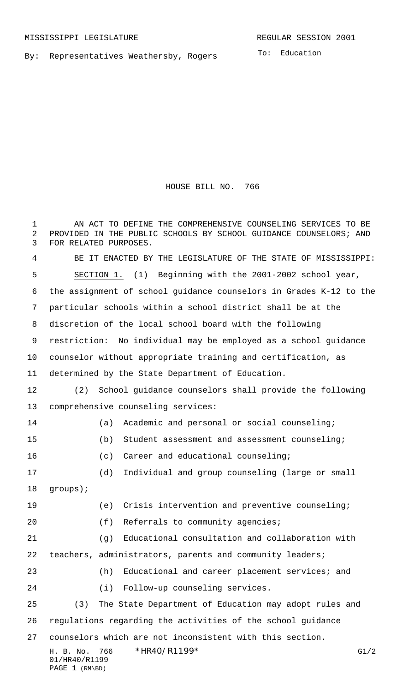01/HR40/R1199 PAGE 1 (RM\BD)

By: Representatives Weathersby, Rogers

HOUSE BILL NO. 766

H. B. No. 766 \*HR40/R1199\* G1/2 1 AN ACT TO DEFINE THE COMPREHENSIVE COUNSELING SERVICES TO BE PROVIDED IN THE PUBLIC SCHOOLS BY SCHOOL GUIDANCE COUNSELORS; AND FOR RELATED PURPOSES. BE IT ENACTED BY THE LEGISLATURE OF THE STATE OF MISSISSIPPI: SECTION 1. (1) Beginning with the 2001-2002 school year, the assignment of school guidance counselors in Grades K-12 to the particular schools within a school district shall be at the discretion of the local school board with the following restriction: No individual may be employed as a school guidance counselor without appropriate training and certification, as determined by the State Department of Education. (2) School guidance counselors shall provide the following comprehensive counseling services: (a) Academic and personal or social counseling; (b) Student assessment and assessment counseling; (c) Career and educational counseling; (d) Individual and group counseling (large or small groups); (e) Crisis intervention and preventive counseling; 20 (f) Referrals to community agencies; (g) Educational consultation and collaboration with teachers, administrators, parents and community leaders; (h) Educational and career placement services; and (i) Follow-up counseling services. (3) The State Department of Education may adopt rules and regulations regarding the activities of the school guidance counselors which are not inconsistent with this section.